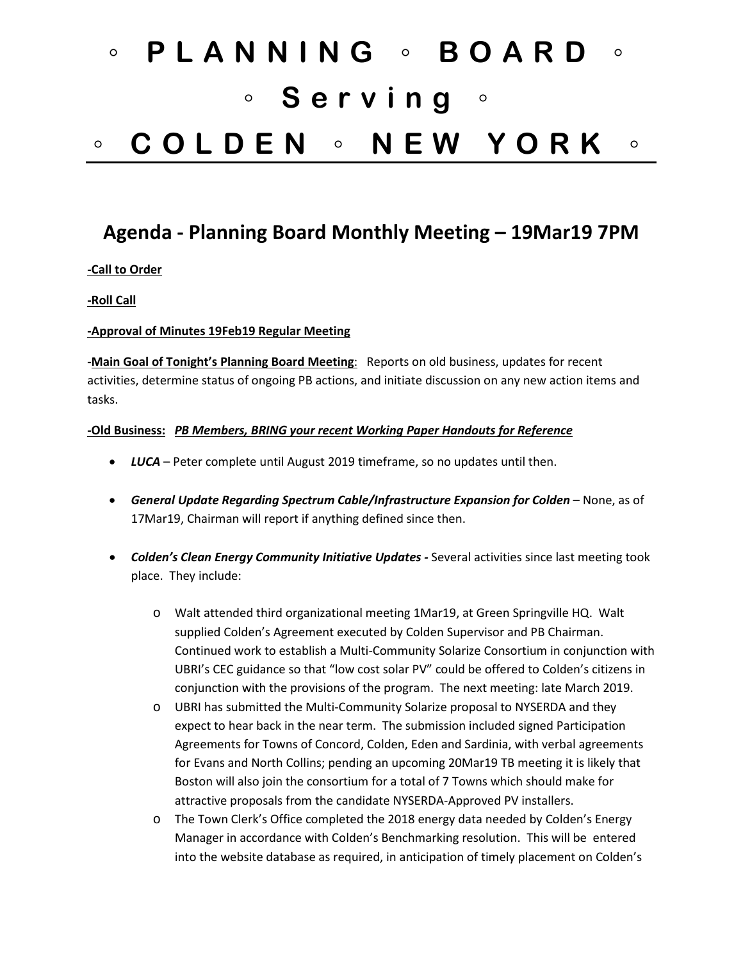# ◦ **PLANNING** ◦ **BOARD** ◦ ◦ **Serving** ◦ ◦ **COLDEN** ◦ **NEW YORK** ◦

# **Agenda - Planning Board Monthly Meeting – 19Mar19 7PM**

# **-Call to Order**

# **-Roll Call**

#### **-Approval of Minutes 19Feb19 Regular Meeting**

**-Main Goal of Tonight's Planning Board Meeting**: Reports on old business, updates for recent activities, determine status of ongoing PB actions, and initiate discussion on any new action items and tasks.

#### **-Old Business:** *PB Members, BRING your recent Working Paper Handouts for Reference*

- *LUCA* Peter complete until August 2019 timeframe, so no updates until then.
- *General Update Regarding Spectrum Cable/Infrastructure Expansion for Colden* None, as of 17Mar19, Chairman will report if anything defined since then.
- *Colden's Clean Energy Community Initiative Updates -* Several activities since last meeting took place. They include:
	- o Walt attended third organizational meeting 1Mar19, at Green Springville HQ. Walt supplied Colden's Agreement executed by Colden Supervisor and PB Chairman. Continued work to establish a Multi-Community Solarize Consortium in conjunction with UBRI's CEC guidance so that "low cost solar PV" could be offered to Colden's citizens in conjunction with the provisions of the program. The next meeting: late March 2019.
	- o UBRI has submitted the Multi-Community Solarize proposal to NYSERDA and they expect to hear back in the near term. The submission included signed Participation Agreements for Towns of Concord, Colden, Eden and Sardinia, with verbal agreements for Evans and North Collins; pending an upcoming 20Mar19 TB meeting it is likely that Boston will also join the consortium for a total of 7 Towns which should make for attractive proposals from the candidate NYSERDA-Approved PV installers.
	- o The Town Clerk's Office completed the 2018 energy data needed by Colden's Energy Manager in accordance with Colden's Benchmarking resolution. This will be entered into the website database as required, in anticipation of timely placement on Colden's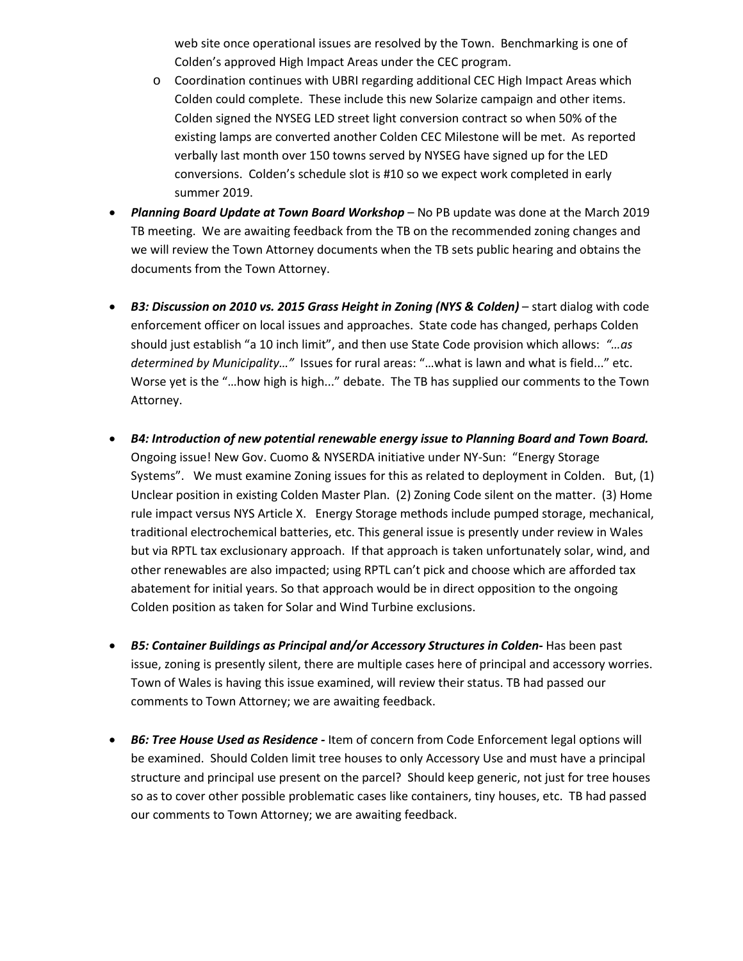web site once operational issues are resolved by the Town. Benchmarking is one of Colden's approved High Impact Areas under the CEC program.

- o Coordination continues with UBRI regarding additional CEC High Impact Areas which Colden could complete. These include this new Solarize campaign and other items. Colden signed the NYSEG LED street light conversion contract so when 50% of the existing lamps are converted another Colden CEC Milestone will be met. As reported verbally last month over 150 towns served by NYSEG have signed up for the LED conversions. Colden's schedule slot is #10 so we expect work completed in early summer 2019.
- *Planning Board Update at Town Board Workshop* No PB update was done at the March 2019 TB meeting. We are awaiting feedback from the TB on the recommended zoning changes and we will review the Town Attorney documents when the TB sets public hearing and obtains the documents from the Town Attorney.
- *B3: Discussion on 2010 vs. 2015 Grass Height in Zoning (NYS & Colden)* start dialog with code enforcement officer on local issues and approaches. State code has changed, perhaps Colden should just establish "a 10 inch limit", and then use State Code provision which allows: *"…as determined by Municipality…"* Issues for rural areas: "…what is lawn and what is field..." etc. Worse yet is the "…how high is high..." debate. The TB has supplied our comments to the Town Attorney.
- *B4: Introduction of new potential renewable energy issue to Planning Board and Town Board.* Ongoing issue! New Gov. Cuomo & NYSERDA initiative under NY-Sun: "Energy Storage Systems". We must examine Zoning issues for this as related to deployment in Colden. But, (1) Unclear position in existing Colden Master Plan. (2) Zoning Code silent on the matter. (3) Home rule impact versus NYS Article X. Energy Storage methods include pumped storage, mechanical, traditional electrochemical batteries, etc. This general issue is presently under review in Wales but via RPTL tax exclusionary approach. If that approach is taken unfortunately solar, wind, and other renewables are also impacted; using RPTL can't pick and choose which are afforded tax abatement for initial years. So that approach would be in direct opposition to the ongoing Colden position as taken for Solar and Wind Turbine exclusions.
- *B5: Container Buildings as Principal and/or Accessory Structures in Colden-* Has been past issue, zoning is presently silent, there are multiple cases here of principal and accessory worries. Town of Wales is having this issue examined, will review their status. TB had passed our comments to Town Attorney; we are awaiting feedback.
- *B6: Tree House Used as Residence -* Item of concern from Code Enforcement legal options will be examined. Should Colden limit tree houses to only Accessory Use and must have a principal structure and principal use present on the parcel? Should keep generic, not just for tree houses so as to cover other possible problematic cases like containers, tiny houses, etc. TB had passed our comments to Town Attorney; we are awaiting feedback.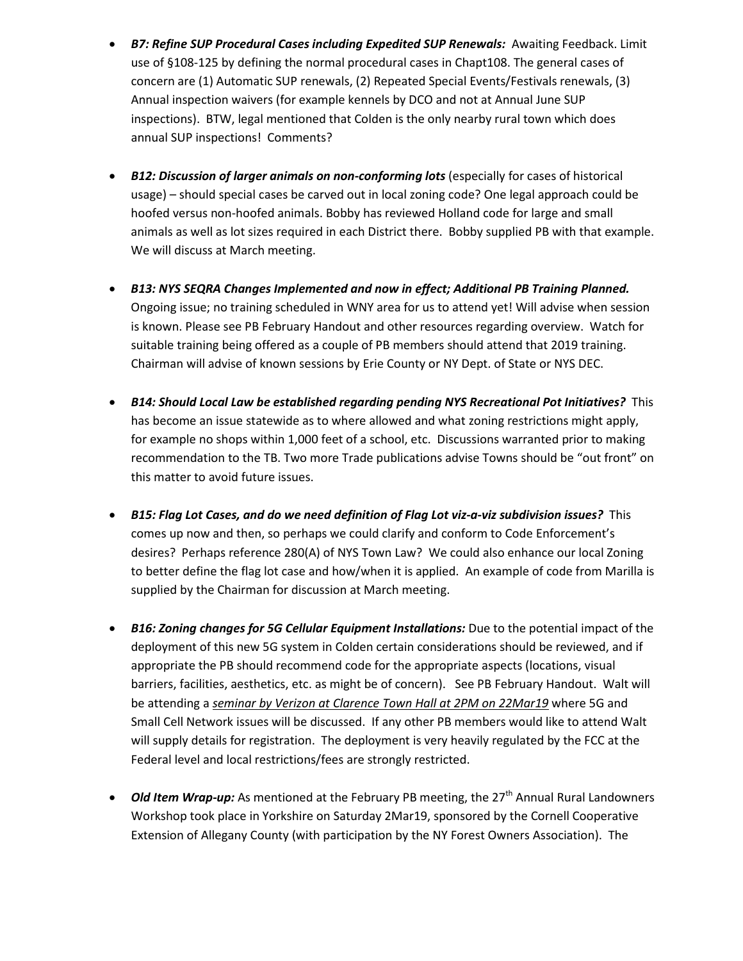- *B7: Refine SUP Procedural Cases including Expedited SUP Renewals:* Awaiting Feedback. Limit use of §108-125 by defining the normal procedural cases in Chapt108. The general cases of concern are (1) Automatic SUP renewals, (2) Repeated Special Events/Festivals renewals, (3) Annual inspection waivers (for example kennels by DCO and not at Annual June SUP inspections). BTW, legal mentioned that Colden is the only nearby rural town which does annual SUP inspections! Comments?
- *B12: Discussion of larger animals on non-conforming lots* (especially for cases of historical usage) – should special cases be carved out in local zoning code? One legal approach could be hoofed versus non-hoofed animals. Bobby has reviewed Holland code for large and small animals as well as lot sizes required in each District there. Bobby supplied PB with that example. We will discuss at March meeting.
- *B13: NYS SEQRA Changes Implemented and now in effect; Additional PB Training Planned.* Ongoing issue; no training scheduled in WNY area for us to attend yet! Will advise when session is known. Please see PB February Handout and other resources regarding overview. Watch for suitable training being offered as a couple of PB members should attend that 2019 training. Chairman will advise of known sessions by Erie County or NY Dept. of State or NYS DEC.
- *B14: Should Local Law be established regarding pending NYS Recreational Pot Initiatives?* This has become an issue statewide as to where allowed and what zoning restrictions might apply, for example no shops within 1,000 feet of a school, etc. Discussions warranted prior to making recommendation to the TB. Two more Trade publications advise Towns should be "out front" on this matter to avoid future issues.
- *B15: Flag Lot Cases, and do we need definition of Flag Lot viz-a-viz subdivision issues?* This comes up now and then, so perhaps we could clarify and conform to Code Enforcement's desires? Perhaps reference 280(A) of NYS Town Law? We could also enhance our local Zoning to better define the flag lot case and how/when it is applied. An example of code from Marilla is supplied by the Chairman for discussion at March meeting.
- *B16: Zoning changes for 5G Cellular Equipment Installations:* Due to the potential impact of the deployment of this new 5G system in Colden certain considerations should be reviewed, and if appropriate the PB should recommend code for the appropriate aspects (locations, visual barriers, facilities, aesthetics, etc. as might be of concern). See PB February Handout. Walt will be attending a *seminar by Verizon at Clarence Town Hall at 2PM on 22Mar19* where 5G and Small Cell Network issues will be discussed. If any other PB members would like to attend Walt will supply details for registration. The deployment is very heavily regulated by the FCC at the Federal level and local restrictions/fees are strongly restricted.
- *Old Item Wrap-up:* As mentioned at the February PB meeting, the 27<sup>th</sup> Annual Rural Landowners Workshop took place in Yorkshire on Saturday 2Mar19, sponsored by the Cornell Cooperative Extension of Allegany County (with participation by the NY Forest Owners Association). The